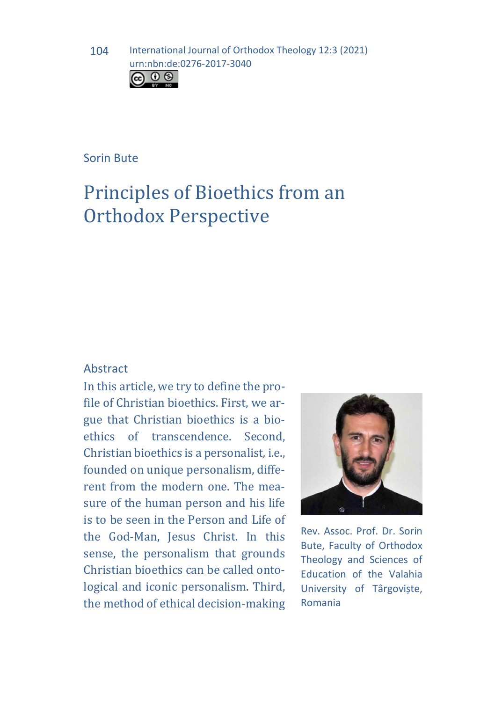

## Sorin Bute

# Principles of Bioethics from an Orthodox Perspective

## Abstract

In this article, we try to define the profile of Christian bioethics. First, we argue that Christian bioethics is a bioethics of transcendence. Second, Christian bioethics is a personalist*,* i.e., founded on unique personalism, different from the modern one. The measure of the human person and his life is to be seen in the Person and Life of the God-Man, Jesus Christ. In this sense, the personalism that grounds Christian bioethics can be called ontological and iconic personalism. Third, the method of ethical decision-making



Rev. Assoc. Prof. Dr. Sorin Bute, Faculty of Orthodox Theology and Sciences of Education of the Valahia University of Târgoviște, Romania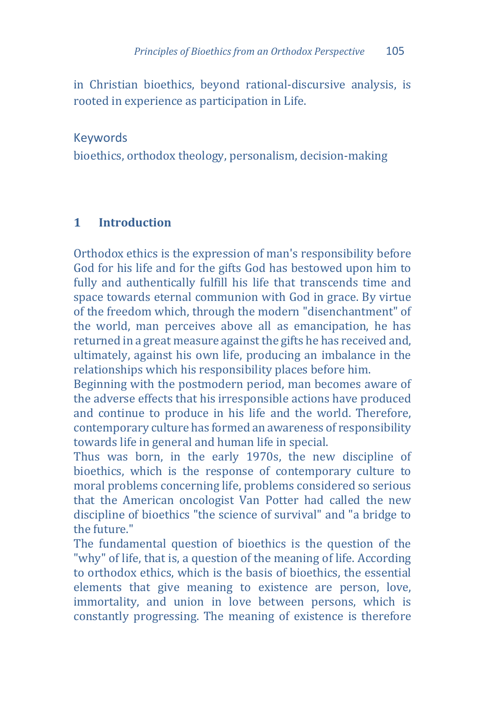in Christian bioethics, beyond rational-discursive analysis, is rooted in experience as participation in Life.

# Keywords

bioethics, orthodox theology, personalism, decision-making

#### **1 Introduction**

Orthodox ethics is the expression of man's responsibility before God for his life and for the gifts God has bestowed upon him to fully and authentically fulfill his life that transcends time and space towards eternal communion with God in grace. By virtue of the freedom which, through the modern "disenchantment" of the world, man perceives above all as emancipation, he has returned in a great measure against the gifts he has received and, ultimately, against his own life, producing an imbalance in the relationships which his responsibility places before him.

Beginning with the postmodern period, man becomes aware of the adverse effects that his irresponsible actions have produced and continue to produce in his life and the world. Therefore, contemporary culture has formed an awareness of responsibility towards life in general and human life in special.

Thus was born, in the early 1970s, the new discipline of bioethics, which is the response of contemporary culture to moral problems concerning life, problems considered so serious that the American oncologist Van Potter had called the new discipline of bioethics "the science of survival" and "a bridge to the future."

The fundamental question of bioethics is the question of the "why" of life, that is, a question of the meaning of life. According to orthodox ethics, which is the basis of bioethics, the essential elements that give meaning to existence are person, love, immortality, and union in love between persons, which is constantly progressing. The meaning of existence is therefore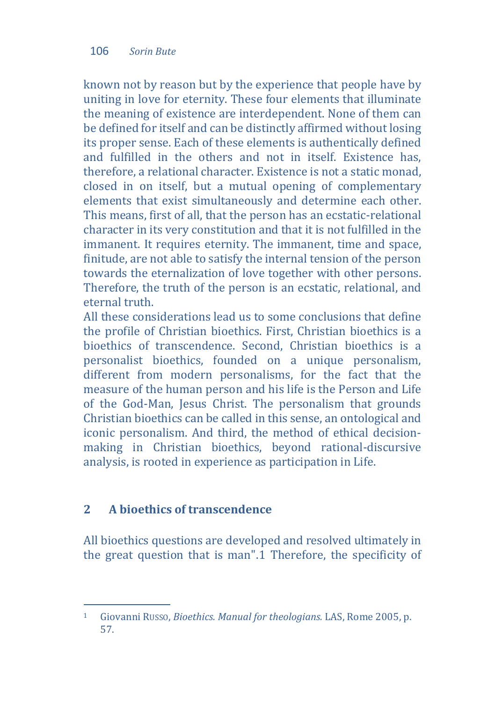known not by reason but by the experience that people have by uniting in love for eternity. These four elements that illuminate the meaning of existence are interdependent. None of them can be defined for itself and can be distinctly affirmed without losing its proper sense. Each of these elements is authentically defined and fulfilled in the others and not in itself. Existence has, therefore, a relational character. Existence is not a static monad, closed in on itself, but a mutual opening of complementary elements that exist simultaneously and determine each other. This means, first of all, that the person has an ecstatic-relational character in its very constitution and that it is not fulfilled in the immanent. It requires eternity. The immanent, time and space, finitude, are not able to satisfy the internal tension of the person towards the eternalization of love together with other persons. Therefore, the truth of the person is an ecstatic, relational, and eternal truth.

All these considerations lead us to some conclusions that define the profile of Christian bioethics. First, Christian bioethics is a bioethics of transcendence. Second, Christian bioethics is a personalist bioethics, founded on a unique personalism, different from modern personalisms, for the fact that the measure of the human person and his life is the Person and Life of the God-Man, Jesus Christ. The personalism that grounds Christian bioethics can be called in this sense, an ontological and iconic personalism. And third, the method of ethical decisionmaking in Christian bioethics, beyond rational-discursive analysis, is rooted in experience as participation in Life.

# **2 A bioethics of transcendence**

All bioethics questions are devel[op](#page-2-0)ed and resolved ultimately in the great question that is man".1 Therefore, the specificity of

<span id="page-2-0"></span> $\mathbf 1$ <sup>1</sup> Giovanni RUSSO, *Bioethics. Manual for theologians.* LAS, Rome 2005, p. 57.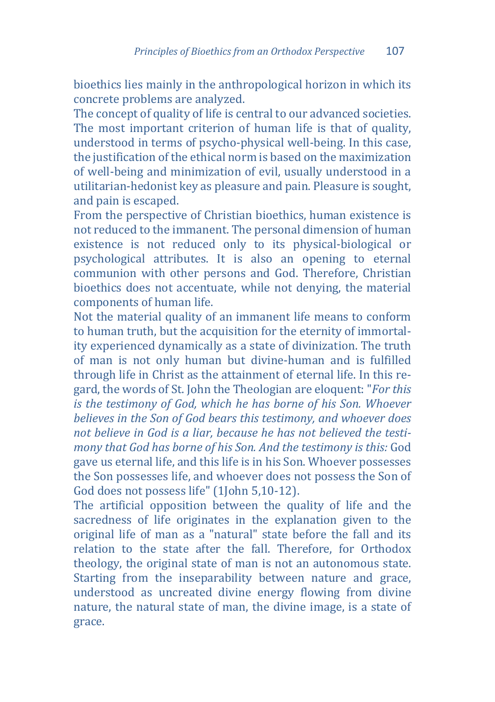bioethics lies mainly in the anthropological horizon in which its concrete problems are analyzed.

The concept of quality of life is central to our advanced societies. The most important criterion of human life is that of quality, understood in terms of psycho-physical well-being. In this case, the justification of the ethical norm is based on the maximization of well-being and minimization of evil, usually understood in a utilitarian-hedonist key as pleasure and pain. Pleasure is sought, and pain is escaped.

From the perspective of Christian bioethics, human existence is not reduced to the immanent. The personal dimension of human existence is not reduced only to its physical-biological or psychological attributes. It is also an opening to eternal communion with other persons and God. Therefore, Christian bioethics does not accentuate, while not denying, the material components of human life.

Not the material quality of an immanent life means to conform to human truth, but the acquisition for the eternity of immortality experienced dynamically as a state of divinization. The truth of man is not only human but divine-human and is fulfilled through life in Christ as the attainment of eternal life. In this regard, the words of St. John the Theologian are eloquent: "*For this is the testimony of God, which he has borne of his Son. Whoever believes in the Son of God bears this testimony, and whoever does not believe in God is a liar, because he has not believed the testimony that God has borne of his Son. And the testimony is this:* God gave us eternal life, and this life is in his Son. Whoever possesses the Son possesses life, and whoever does not possess the Son of God does not possess life" (1John 5,10-12).

The artificial opposition between the quality of life and the sacredness of life originates in the explanation given to the original life of man as a "natural" state before the fall and its relation to the state after the fall. Therefore, for Orthodox theology, the original state of man is not an autonomous state. Starting from the inseparability between nature and grace, understood as uncreated divine energy flowing from divine nature, the natural state of man, the divine image, is a state of grace.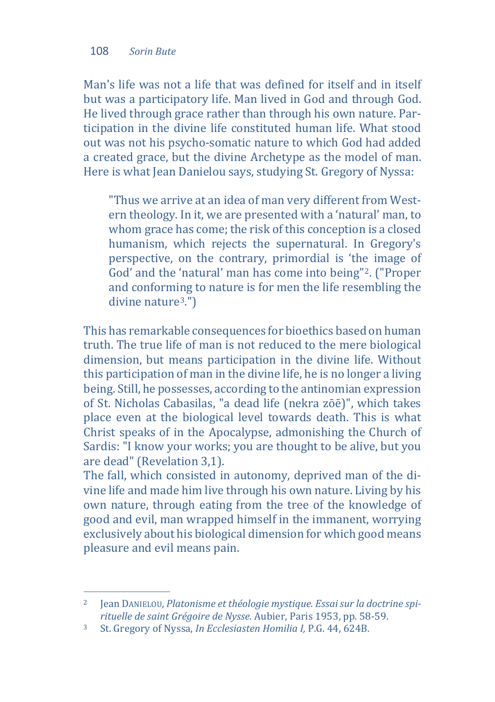Man's life was not a life that was defined for itself and in itself but was a participatory life. Man lived in God and through God. He lived through grace rather than through his own nature. Participation in the divine life constituted human life. What stood out was not his psycho-somatic nature to which God had added a created grace, but the divine Archetype as the model of man. Here is what Jean Danielou says, studying St. Gregory of Nyssa:

"Thus we arrive at an idea of man very different from Western theology. In it, we are presented with a 'natural' man, to whom grace has come; the risk of this conception is a closed humanism, which rejects the supernatural. In Gregory's perspective, on the contrary, primordial is 'the image of God' and the 'natural' man has come into being"[2](#page-4-0). ("Proper and conforming to nature is for men the life resembling the divine nature[3.](#page-4-1)")

This has remarkable consequences for bioethics based on human truth. The true life of man is not reduced to the mere biological dimension, but means participation in the divine life. Without this participation of man in the divine life, he is no longer a living being. Still, he possesses, according to the antinomian expression of St. Nicholas Cabasilas, "a dead life (nekra zōē)", which takes place even at the biological level towards death. This is what Christ speaks of in the Apocalypse, admonishing the Church of Sardis: "I know your works; you are thought to be alive, but you are dead" (Revelation 3,1).

The fall, which consisted in autonomy, deprived man of the divine life and made him live through his own nature. Living by his own nature, through eating from the tree of the knowledge of good and evil, man wrapped himself in the immanent, worrying exclusively about his biological dimension for which good means pleasure and evil means pain.

<span id="page-4-0"></span> $\overline{2}$ <sup>2</sup> Jean DANIELOU, *Platonisme et théologie mystique. Essai sur la doctrine spirituelle de saint Grégoire de Nysse*. Aubier, Paris 1953, pp. 58-59.

<span id="page-4-1"></span><sup>3</sup> St. Gregory of Nyssa, *In Ecclesiasten Homilia I,* P.G. 44, 624B.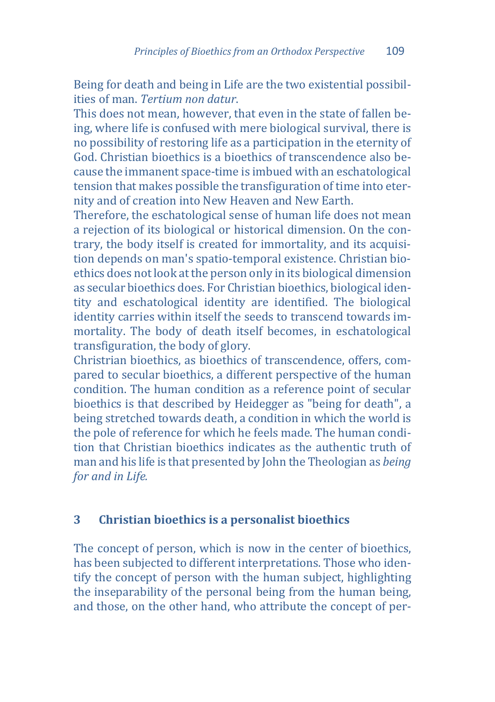Being for death and being in Life are the two existential possibilities of man. *Tertium non datur*.

This does not mean, however, that even in the state of fallen being, where life is confused with mere biological survival, there is no possibility of restoring life as a participation in the eternity of God. Christian bioethics is a bioethics of transcendence also because the immanent space-time is imbued with an eschatological tension that makes possible the transfiguration of time into eternity and of creation into New Heaven and New Earth.

Therefore, the eschatological sense of human life does not mean a rejection of its biological or historical dimension. On the contrary, the body itself is created for immortality, and its acquisition depends on man's spatio-temporal existence. Christian bioethics does not look at the person only in its biological dimension as secular bioethics does. For Christian bioethics, biological identity and eschatological identity are identified. The biological identity carries within itself the seeds to transcend towards immortality. The body of death itself becomes, in eschatological transfiguration, the body of glory.

Christrian bioethics, as bioethics of transcendence, offers, compared to secular bioethics, a different perspective of the human condition. The human condition as a reference point of secular bioethics is that described by Heidegger as "being for death", a being stretched towards death, a condition in which the world is the pole of reference for which he feels made. The human condition that Christian bioethics indicates as the authentic truth of man and his life is that presented by John the Theologian as *being for and in Life.*

#### **3 Christian bioethics is a personalist bioethics**

The concept of person, which is now in the center of bioethics, has been subjected to different interpretations. Those who identify the concept of person with the human subject, highlighting the inseparability of the personal being from the human being, and those, on the other hand, who attribute the concept of per-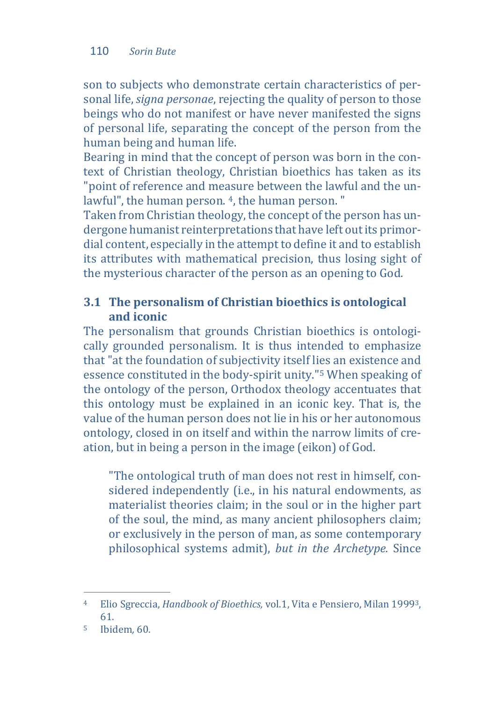#### 110 *Sorin Bute*

son to subjects who demonstrate certain characteristics of personal life, *signa personae*, rejecting the quality of person to those beings who do not manifest or have never manifested the signs of personal life, separating the concept of the person from the human being and human life.

Bearing in mind that the concept of person was born in the context of Christian theology, Christian bioethics has taken as its "point of reference and measure between the lawful and the unlawful", the human person. <sup>4</sup>, the human person. "

Taken from Christian theology, the concept of the person has undergone humanist reinterpretations that have left out its primordial content, especially in the attempt to define it and to establish its attributes with mathematical precision, thus losing sight of the mysterious character of the person as an opening to God.

# **3.1 The personalism of Christian bioethics is ontological and iconic**

The personalism that grounds Christian bioethics is ontologically grounded personalism. It is thus intended to emphasize that "at the foundation of subjectivity itself lies an existence and essence constituted in the body-spirit unity."[5](#page-6-1) When speaking of the ontology of the person, Orthodox theology accentuates that this ontology must be explained in an iconic key. That is, the value of the human person does not lie in his or her autonomous ontology, closed in on itself and within the narrow limits of creation, but in being a person in the image (eikon) of God.

"The ontological truth of man does not rest in himself, considered independently (i.e., in his natural endowments, as materialist theories claim; in the soul or in the higher part of the soul, the mind, as many ancient philosophers claim; or exclusively in the person of man, as some contemporary philosophical systems admit), *but in the Archetype.* Since

<span id="page-6-0"></span> $\overline{A}$ <sup>4</sup> Elio Sgreccia, *Handbook of Bioethics,* vol.1, Vita e Pensiero, Milan 19993, 61.

<span id="page-6-1"></span><sup>5</sup> Ibidem*,* 60.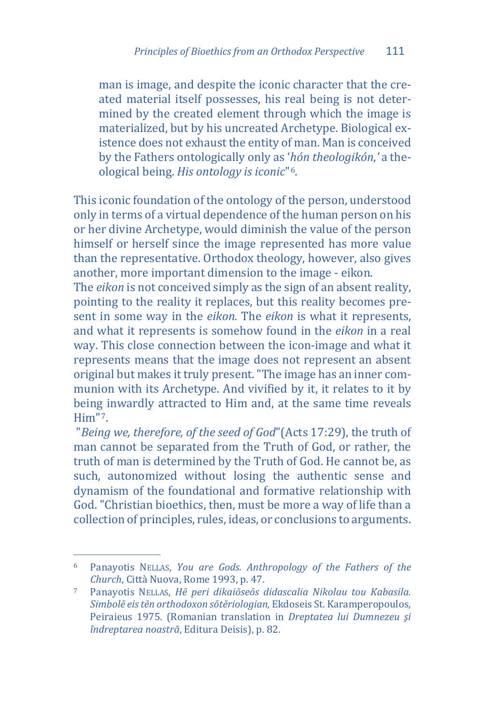man is image, and despite the iconic character that the created material itself possesses, his real being is not determined by the created element through which the image is materialized, but by his uncreated Archetype. Biological existence does not exhaust the entity of man. Man is conceived by the Fathers ontologically only as '*hón theologikón*,*'* a theological being. *His ontology is iconic*"[6](#page-7-0).

This iconic foundation of the ontology of the person, understood only in terms of a virtual dependence of the human person on his or her divine Archetype, would diminish the value of the person himself or herself since the image represented has more value than the representative. Orthodox theology, however, also gives another, more important dimension to the image - eikon.

The *eikon* is not conceived simply as the sign of an absent reality, pointing to the reality it replaces, but this reality becomes present in some way in the *eikon.* The *eikon* is what it represents, and what it represents is somehow found in the *eikon* in a real way. This close connection between the icon-image and what it represents means that the image does not represent an absent original but makes it truly present. "The image has an inner communion with its Archetype. And vivified by it, it relates to it by being inwardly attracted to Him and, at the same time reveals Him"[7.](#page-7-1)

"*Being we, therefore, of the seed of God*"(Acts 17:29), the truth of man cannot be separated from the Truth of God, or rather, the truth of man is determined by the Truth of God. He cannot be, as such, autonomized without losing the authentic sense and dynamism of the foundational and formative relationship with God. "Christian bioethics, then, must be more a way of life than a collection of principles, rules, ideas, or conclusions to arguments.

<span id="page-7-0"></span>j <sup>6</sup> Panayotis NELLAS, *You are Gods. Anthropology of the Fathers of the Church*, Città Nuova, Rome 1993, p. 47.

<span id="page-7-1"></span><sup>7</sup> Panayotis NELLAS, *Hē peri dikaiōseōs didascalia Nikolau tou Kabasila. Simbolē eis tēn orthodoxon sōtēriologian,* Ekdoseis St. Karamperopoulos, Peiraieus 1975. (Romanian translation in *Dreptatea lui Dumnezeu şi îndreptarea noastră*, Editura Deisis), p. 82.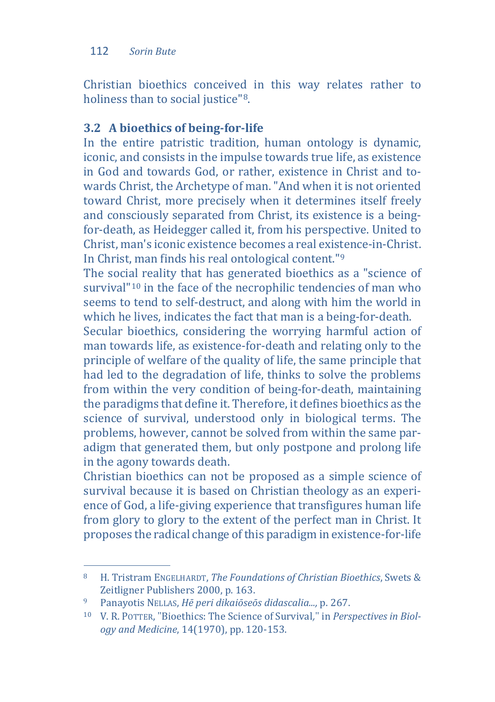#### 112 *Sorin Bute*

Christian bioethics conceived in this way relates rather to holiness than to social justice"<sup>[8](#page-8-0)</sup>.

# **3.2 A bioethics of being-for-life**

In the entire patristic tradition, human ontology is dynamic, iconic, and consists in the impulse towards true life, as existence in God and towards God, or rather, existence in Christ and towards Christ, the Archetype of man. "And when it is not oriented toward Christ, more precisely when it determines itself freely and consciously separated from Christ, its existence is a beingfor-death, as Heidegger called it, from his perspective. United to Christ, man's iconic existence becomes a real exis[te](#page-8-1)nce-in-Christ. In Christ, man finds his real ontological content."9

The social reality that has generated bioethics as a "science of survival<sup>"[10](#page-8-2)</sup> in the face of the necrophilic tendencies of man who seems to tend to self-destruct, and along with him the world in which he lives, indicates the fact that man is a being-for-death.

Secular bioethics, considering the worrying harmful action of man towards life, as existence-for-death and relating only to the principle of welfare of the quality of life, the same principle that had led to the degradation of life, thinks to solve the problems from within the very condition of being-for-death, maintaining the paradigms that define it. Therefore, it defines bioethics as the science of survival, understood only in biological terms. The problems, however, cannot be solved from within the same paradigm that generated them, but only postpone and prolong life in the agony towards death.

Christian bioethics can not be proposed as a simple science of survival because it is based on Christian theology as an experience of God, a life-giving experience that transfigures human life from glory to glory to the extent of the perfect man in Christ. It proposes the radical change of this paradigm in existence-for-life

<span id="page-8-0"></span> $\mathbf{R}$ <sup>8</sup> H. Tristram ENGELHARDT, *The Foundations of Christian Bioethics*, Swets & Zeitligner Publishers 2000, p. 163.

<span id="page-8-1"></span><sup>9</sup> Panayotis NELLAS, *Hē peri dikaiōseōs didascalia...,* p. 267.

<span id="page-8-2"></span><sup>10</sup> V. R. POTTER, "Bioethics: The Science of Survival," in *Perspectives in Biology and Medicine*, 14(1970), pp. 120-153.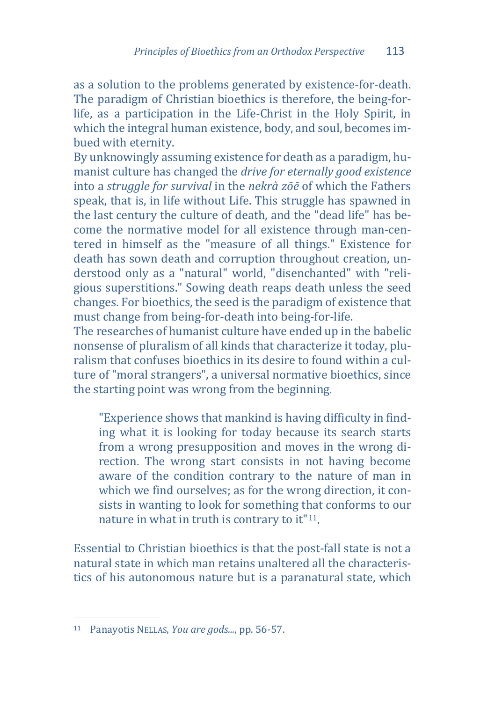as a solution to the problems generated by existence-for-death. The paradigm of Christian bioethics is therefore, the being-forlife, as a participation in the Life-Christ in the Holy Spirit, in which the integral human existence, body, and soul, becomes imbued with eternity.

By unknowingly assuming existence for death as a paradigm, humanist culture has changed the *drive for eternally good existence*  into a *struggle for survival* in the *nekrà zōē* of which the Fathers speak, that is, in life without Life. This struggle has spawned in the last century the culture of death, and the "dead life" has become the normative model for all existence through man-centered in himself as the "measure of all things." Existence for death has sown death and corruption throughout creation, understood only as a "natural" world, "disenchanted" with "religious superstitions." Sowing death reaps death unless the seed changes. For bioethics, the seed is the paradigm of existence that must change from being-for-death into being-for-life.

The researches of humanist culture have ended up in the babelic nonsense of pluralism of all kinds that characterize it today, pluralism that confuses bioethics in its desire to found within a culture of "moral strangers", a universal normative bioethics, since the starting point was wrong from the beginning.

"Experience shows that mankind is having difficulty in finding what it is looking for today because its search starts from a wrong presupposition and moves in the wrong direction. The wrong start consists in not having become aware of the condition contrary to the nature of man in which we find ourselves; as for the wrong direction, it consists in wanting to look for something that conforms to our nature in what in truth is contrary to it"[11](#page-10-0).

Essential to Christian bioethics is that the post-fall state is not a natural state in which man retains unaltered all the characteristics of his autonomous nature but is a paranatural state, which

j <sup>11</sup> Panayotis NELLAS, *You are gods...*, pp. 56-57.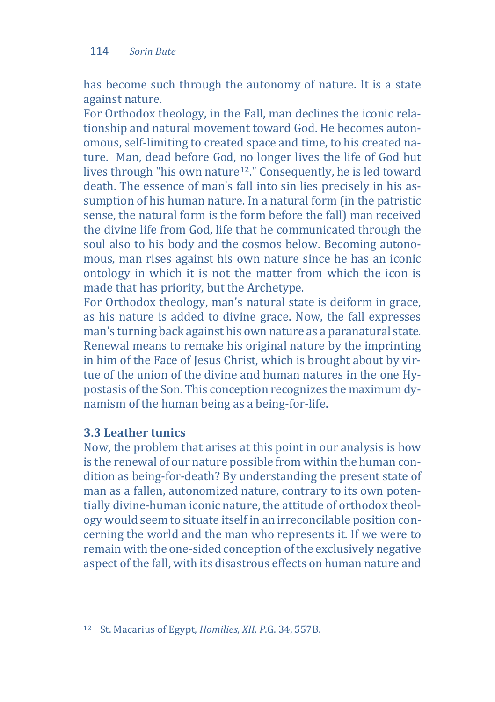has become such through the autonomy of nature. It is a state against nature.

For Orthodox theology, in the Fall, man declines the iconic relationship and natural movement toward God. He becomes autonomous, self-limiting to created space and time, to his created nature. Man, dead before God, no longer lives the life of God but lives through "his own nature[12.](#page-10-1)" Consequently, he is led toward death. The essence of man's fall into sin lies precisely in his assumption of his human nature. In a natural form (in the patristic sense, the natural form is the form before the fall) man received the divine life from God, life that he communicated through the soul also to his body and the cosmos below. Becoming autonomous, man rises against his own nature since he has an iconic ontology in which it is not the matter from which the icon is made that has priority, but the Archetype.

For Orthodox theology, man's natural state is deiform in grace, as his nature is added to divine grace. Now, the fall expresses man's turning back against his own nature as a paranatural state. Renewal means to remake his original nature by the imprinting in him of the Face of Jesus Christ, which is brought about by virtue of the union of the divine and human natures in the one Hypostasis of the Son. This conception recognizes the maximum dynamism of the human being as a being-for-life.

## **3.3 Leather tunics**

Now, the problem that arises at this point in our analysis is how is the renewal of our nature possible from within the human condition as being-for-death? By understanding the present state of man as a fallen, autonomized nature, contrary to its own potentially divine-human iconic nature, the attitude of orthodox theology would seem to situate itself in an irreconcilable position concerning the world and the man who represents it. If we were to remain with the one-sided conception of the exclusively negative aspect of the fall, with its disastrous effects on human nature and

<span id="page-10-1"></span><span id="page-10-0"></span>j <sup>12</sup> St. Macarius of Egypt, *Homilies, XII, P*.G. 34, 557B.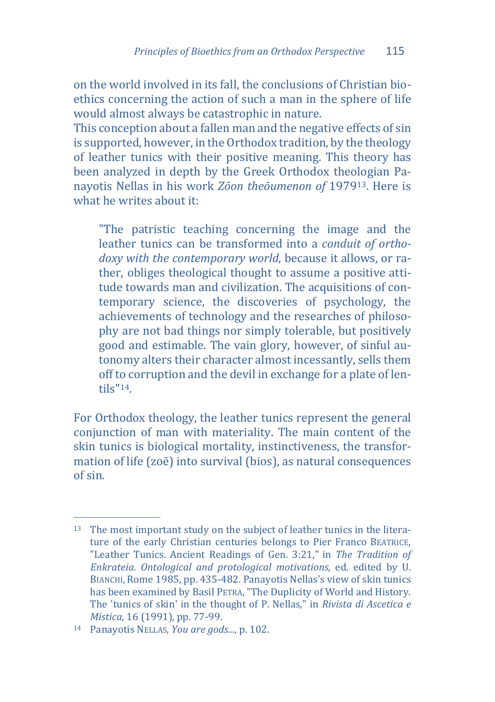on the world involved in its fall, the conclusions of Christian bioethics concerning the action of such a man in the sphere of life would almost always be catastrophic in nature.

This conception about a fallen man and the negative effects of sin is supported, however, in the Orthodox tradition, by the theology of leather tunics with their positive meaning. This theory has been analyzed in depth by the Greek Orthodox theologian Panayotis Nellas in his work *Zōon theōumenon of* 1979[13.](#page-11-0) Here is what he writes about it:

"The patristic teaching concerning the image and the leather tunics can be transformed into a *conduit of orthodoxy with the contemporary world*, because it allows, or rather, obliges theological thought to assume a positive attitude towards man and civilization. The acquisitions of contemporary science, the discoveries of psychology, the achievements of technology and the researches of philosophy are not bad things nor simply tolerable, but positively good and estimable. The vain glory, however, of sinful autonomy alters their character almost incessantly, sells them off to corruption and the devil in exchange for a plate of lentils"[14.](#page-12-0)

For Orthodox theology, the leather tunics represent the general conjunction of man with materiality. The main content of the skin tunics is biological mortality, instinctiveness, the transformation of life (zoē) into survival (bios), as natural consequences of sin.

<span id="page-11-0"></span>j <sup>13</sup> The most important study on the subject of leather tunics in the literature of the early Christian centuries belongs to Pier Franco BEATRICE, "Leather Tunics. Ancient Readings of Gen. 3:21," in *The Tradition of Enkrateia. Ontological and protological motivations,* ed. edited by U. BIANCHI, Rome 1985, pp. 435-482. Panayotis Nellas's view of skin tunics has been examined by Basil PETRA, "The Duplicity of World and History. The 'tunics of skin' in the thought of P. Nellas," in *Rivista di Ascetica e Mistica,* 16 (1991), pp. 77-99.

<sup>14</sup> Panayotis NELLAS, *You are gods...*, p. 102.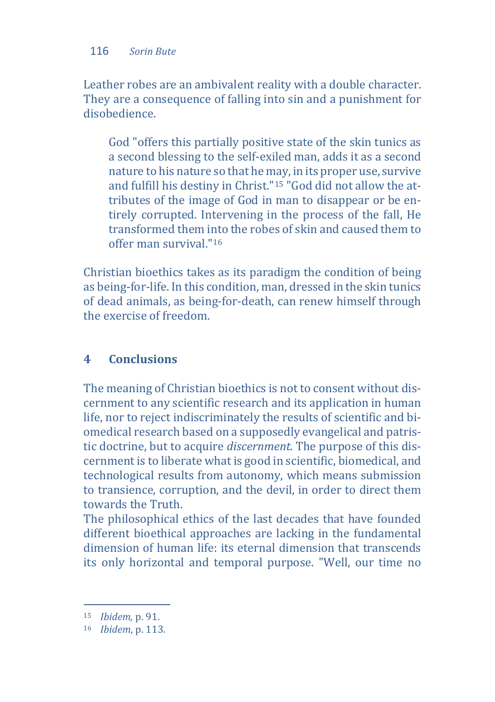Leather robes are an ambivalent reality with a double character. They are a consequence of falling into sin and a punishment for disobedience.

God "offers this partially positive state of the skin tunics as a second blessing to the self-exiled man, adds it as a second nature to his nature so that he may, in its proper use, survive and fulfill his destiny in Christ."[15](#page-12-1) "God did not allow the attributes of the image of God in man to disappear or be entirely corrupted. Intervening in the process of the fall, He transformed them into the robes of skin and caused them to offer man survival."[16](#page-12-2)

Christian bioethics takes as its paradigm the condition of being as being-for-life. In this condition, man, dressed in the skin tunics of dead animals, as being-for-death, can renew himself through the exercise of freedom.

# **4 Conclusions**

The meaning of Christian bioethics is not to consent without discernment to any scientific research and its application in human life, nor to reject indiscriminately the results of scientific and biomedical research based on a supposedly evangelical and patristic doctrine, but to acquire *discernment.* The purpose of this discernment is to liberate what is good in scientific, biomedical, and technological results from autonomy, which means submission to transience, corruption, and the devil, in order to direct them towards the Truth.

The philosophical ethics of the last decades that have founded different bioethical approaches are lacking in the fundamental dimension of human life: its eternal dimension that transcends its only horizontal and temporal purpose. "Well, our time no

<span id="page-12-1"></span><span id="page-12-0"></span>j <sup>15</sup> *Ibidem,* p. 91.

<span id="page-12-2"></span><sup>16</sup> *Ibidem*, p. 113.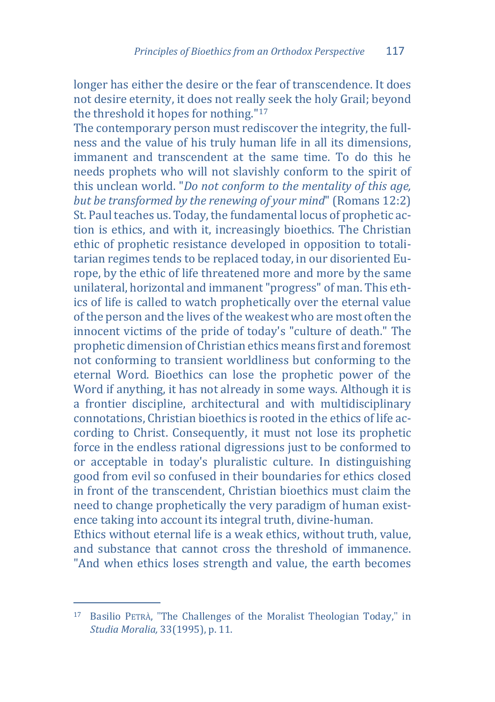longer has either the desire or the fear of transcendence. It does not desire eternity, it does not really seek the holy Grail; beyond the threshold it hopes for nothing."[17](#page-13-0)

The contemporary person must rediscover the integrity, the fullness and the value of his truly human life in all its dimensions, immanent and transcendent at the same time. To do this he needs prophets who will not slavishly conform to the spirit of this unclean world. "*Do not conform to the mentality of this age, but be transformed by the renewing of your mind*" (Romans 12:2) St. Paul teaches us. Today, the fundamental locus of prophetic action is ethics, and with it, increasingly bioethics. The Christian ethic of prophetic resistance developed in opposition to totalitarian regimes tends to be replaced today, in our disoriented Europe, by the ethic of life threatened more and more by the same unilateral, horizontal and immanent "progress" of man. This ethics of life is called to watch prophetically over the eternal value of the person and the lives of the weakest who are most often the innocent victims of the pride of today's "culture of death." The prophetic dimension of Christian ethics means first and foremost not conforming to transient worldliness but conforming to the eternal Word. Bioethics can lose the prophetic power of the Word if anything, it has not already in some ways. Although it is a frontier discipline, architectural and with multidisciplinary connotations, Christian bioethics is rooted in the ethics of life according to Christ. Consequently, it must not lose its prophetic force in the endless rational digressions just to be conformed to or acceptable in today's pluralistic culture. In distinguishing good from evil so confused in their boundaries for ethics closed in front of the transcendent, Christian bioethics must claim the need to change prophetically the very paradigm of human existence taking into account its integral truth, divine-human. Ethics without eternal life is a weak ethics, without truth, value, and substance that cannot cross the threshold of immanence.

"And when ethics loses strength and value, the earth becomes

<span id="page-13-0"></span>j <sup>17</sup> Basilio PETRÀ, "The Challenges of the Moralist Theologian Today," in *Studia Moralia,* 33(1995), p. 11.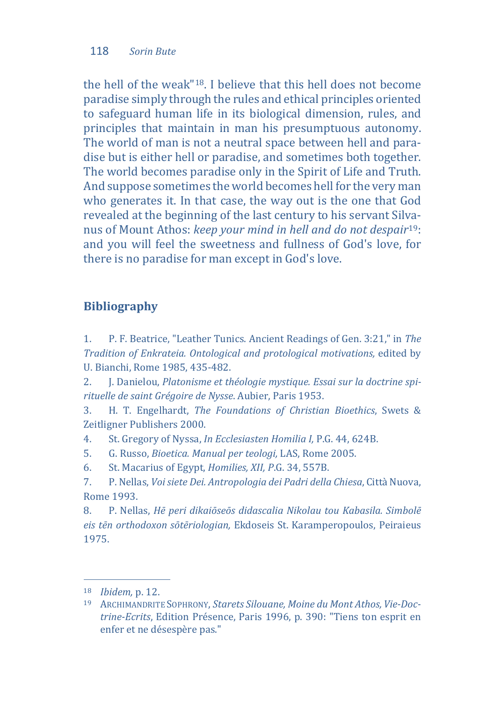the hell of the weak"[18](#page-14-0). I believe that this hell does not become paradise simply through the rules and ethical principles oriented to safeguard human life in its biological dimension, rules, and principles that maintain in man his presumptuous autonomy. The world of man is not a neutral space between hell and paradise but is either hell or paradise, and sometimes both together. The world becomes paradise only in the Spirit of Life and Truth. And suppose sometimes the world becomes hell for the very man who generates it. In that case, the way out is the one that God revealed at the beginning of the last century to his servant Silvanus of Mount Athos: *keep your mind in hell and do not despair*[19](#page-14-1): and you will feel the sweetness and fullness of God's love, for there is no paradise for man except in God's love.

# **Bibliography**

1. P. F. Beatrice, "Leather Tunics. Ancient Readings of Gen. 3:21," in *The Tradition of Enkrateia. Ontological and protological motivations,* edited by U. Bianchi, Rome 1985, 435-482.

2. J. Danielou, *Platonisme et théologie mystique. Essai sur la doctrine spirituelle de saint Grégoire de Nysse*. Aubier, Paris 1953.

3. H. T. Engelhardt, *The Foundations of Christian Bioethics*, Swets & Zeitligner Publishers 2000.

4. St. Gregory of Nyssa, *In Ecclesiasten Homilia I,* P.G. 44, 624B.

- 5. G. Russo, *Bioetica. Manual per teologi,* LAS, Rome 2005.
- 6. St. Macarius of Egypt, *Homilies, XII, P*.G. 34, 557B.

7. P. Nellas, *Voi siete Dei. Antropologia dei Padri della Chiesa*, Città Nuova, Rome 1993.

8. P. Nellas, *Hē peri dikaiōseōs didascalia Nikolau tou Kabasila. Simbolē eis tēn orthodoxon sōtēriologian,* Ekdoseis St. Karamperopoulos, Peiraieus 1975.

j <sup>18</sup> *Ibidem,* p. 12.

<span id="page-14-1"></span><span id="page-14-0"></span><sup>19</sup> ARCHIMANDRITE SOPHRONY, *Starets Silouane, Moine du Mont Athos, Vie-Doctrine-Ecrits*, Edition Présence, Paris 1996, p. 390: "Tiens ton esprit en enfer et ne désespère pas."